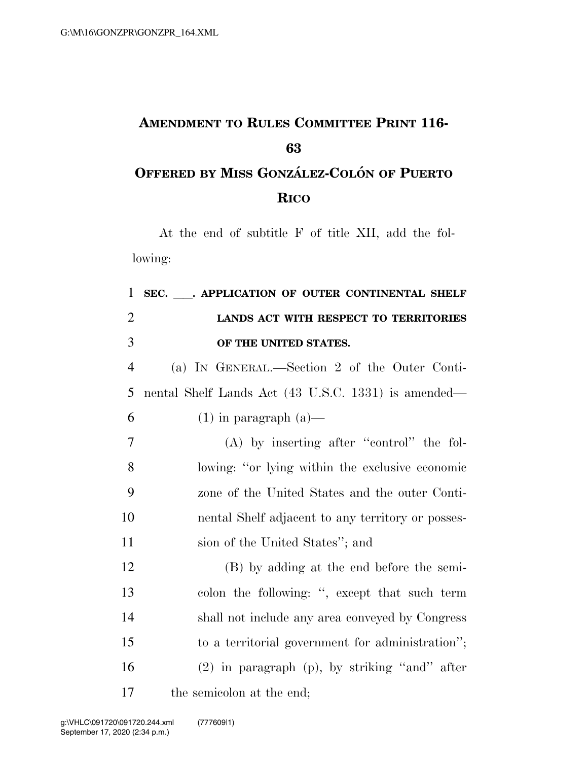## **AMENDMENT TO RULES COMMITTEE PRINT 116- OFFERED BY MISS GONZA´ LEZ-COLO´ N OF PUERTO**

## **RICO**

At the end of subtitle F of title XII, add the following:

| $\mathbf{1}$   | SEC. APPLICATION OF OUTER CONTINENTAL SHELF                              |
|----------------|--------------------------------------------------------------------------|
| $\overline{2}$ | LANDS ACT WITH RESPECT TO TERRITORIES                                    |
| 3              | OF THE UNITED STATES.                                                    |
| $\overline{4}$ | (a) IN GENERAL.—Section 2 of the Outer Conti-                            |
| 5              | nental Shelf Lands Act (43 U.S.C. 1331) is amended—                      |
| 6              | $(1)$ in paragraph $(a)$ —                                               |
| $\overline{7}$ | $(A)$ by inserting after "control" the fol-                              |
| 8              | lowing: "or lying within the exclusive economic                          |
| 9              | zone of the United States and the outer Conti-                           |
| 10             | nental Shelf adjacent to any territory or posses-                        |
| 11             | sion of the United States"; and                                          |
| 12             | (B) by adding at the end before the semi-                                |
| 13             | colon the following: ", except that such term                            |
| 14             | shall not include any area conveyed by Congress                          |
| 15             | to a territorial government for administration";                         |
| 16             | $(2)$ in paragraph $(p)$ , by striking "and" after                       |
| 1 <sub>7</sub> | $\mathbf{I}$ , $\mathbf{I}$ , $\mathbf{I}$ , $\mathbf{I}$ , $\mathbf{I}$ |

17 the semicolon at the end;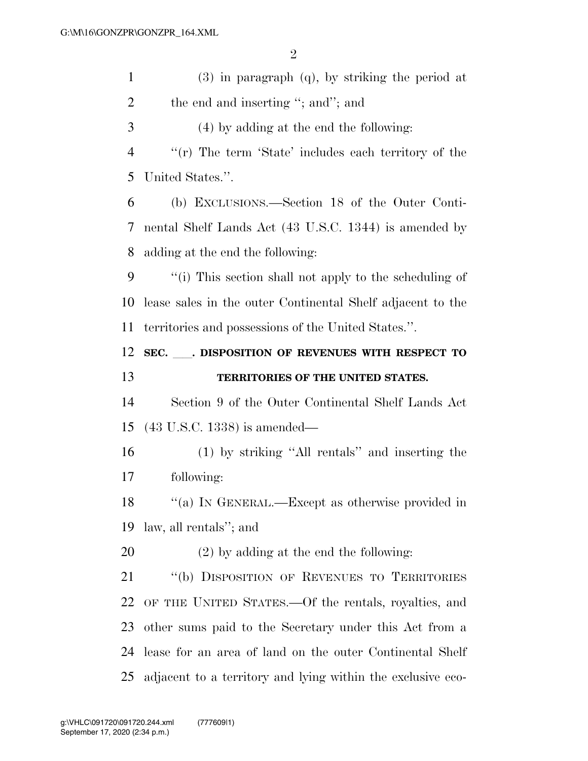| $\mathbf{1}$   | $(3)$ in paragraph $(q)$ , by striking the period at       |
|----------------|------------------------------------------------------------|
| $\overline{2}$ | the end and inserting "; and"; and                         |
| 3              | $(4)$ by adding at the end the following:                  |
| $\overline{4}$ | "(r) The term 'State' includes each territory of the       |
| 5              | United States.".                                           |
| 6              | (b) EXCLUSIONS.—Section 18 of the Outer Conti-             |
| 7              | nental Shelf Lands Act (43 U.S.C. 1344) is amended by      |
| 8              | adding at the end the following:                           |
| 9              | "(i) This section shall not apply to the scheduling of     |
| 10             | lease sales in the outer Continental Shelf adjacent to the |
| 11             | territories and possessions of the United States.".        |
| 12             | SEC. ___. DISPOSITION OF REVENUES WITH RESPECT TO          |
|                |                                                            |
| 13             | TERRITORIES OF THE UNITED STATES.                          |
| 14             | Section 9 of the Outer Continental Shelf Lands Act         |
| 15             | $(43 \text{ U.S.C. } 1338)$ is amended—                    |
| 16             | (1) by striking "All rentals" and inserting the            |
| 17             | following:                                                 |
| 18             | "(a) IN GENERAL.—Except as otherwise provided in           |
| 19             | law, all rentals"; and                                     |
| 20             | $(2)$ by adding at the end the following:                  |
| 21             | "(b) DISPOSITION OF REVENUES TO TERRITORIES                |
| 22             | OF THE UNITED STATES.—Of the rentals, royalties, and       |
| 23             | other sums paid to the Secretary under this Act from a     |
| 24             | lease for an area of land on the outer Continental Shelf   |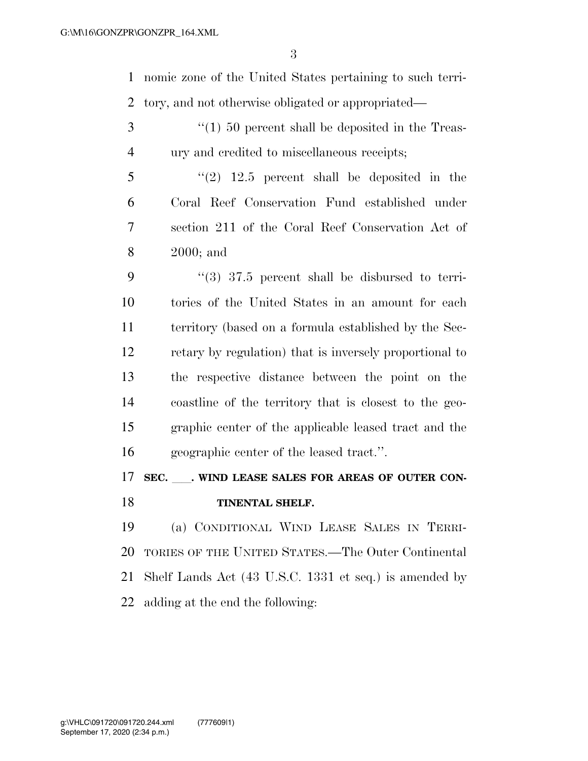nomic zone of the United States pertaining to such terri-tory, and not otherwise obligated or appropriated—

- 3 ''(1) 50 percent shall be deposited in the Treas-ury and credited to miscellaneous receipts;
- ''(2) 12.5 percent shall be deposited in the Coral Reef Conservation Fund established under section 211 of the Coral Reef Conservation Act of 2000; and
- 9  $(3)$  37.5 percent shall be disbursed to terri- tories of the United States in an amount for each territory (based on a formula established by the Sec- retary by regulation) that is inversely proportional to the respective distance between the point on the coastline of the territory that is closest to the geo- graphic center of the applicable leased tract and the geographic center of the leased tract.''.

## 17 SEC. WIND LEASE SALES FOR AREAS OF OUTER CON-**TINENTAL SHELF.**

 (a) CONDITIONAL WIND LEASE SALES IN TERRI- TORIES OF THE UNITED STATES.—The Outer Continental Shelf Lands Act (43 U.S.C. 1331 et seq.) is amended by adding at the end the following: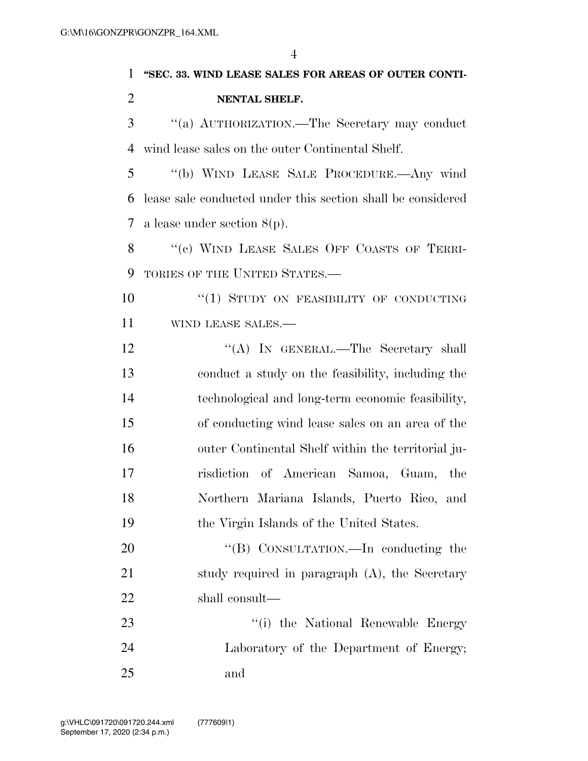| 1              | 4<br>"SEC. 33. WIND LEASE SALES FOR AREAS OF OUTER CONTI-   |
|----------------|-------------------------------------------------------------|
| $\overline{2}$ | NENTAL SHELF.                                               |
| 3              | "(a) AUTHORIZATION.—The Secretary may conduct               |
| 4              | wind lease sales on the outer Continental Shelf.            |
| 5              | "(b) WIND LEASE SALE PROCEDURE.—Any wind                    |
| 6              | lease sale conducted under this section shall be considered |
| 7              | a lease under section $8(p)$ .                              |
| 8              | "(c) WIND LEASE SALES OFF COASTS OF TERRI-                  |
| 9              | TORIES OF THE UNITED STATES.—                               |
| 10             | "(1) STUDY ON FEASIBILITY OF CONDUCTING                     |
| 11             | WIND LEASE SALES.-                                          |
| 12             | "(A) IN GENERAL.—The Secretary shall                        |
| 13             | conduct a study on the feasibility, including the           |
| 14             | technological and long-term economic feasibility,           |
| 15             | of conducting wind lease sales on an area of the            |
| 16             | outer Continental Shelf within the territorial ju-          |
| 17             | risdiction of American Samoa, Guam,<br>the                  |
| 18             | Northern Mariana Islands, Puerto Rico, and                  |
| 19             | the Virgin Islands of the United States.                    |
| 20             | "(B) CONSULTATION.—In conducting the                        |
| 21             | study required in paragraph (A), the Secretary              |
| 22             | shall consult—                                              |
| 23             | "(i) the National Renewable Energy                          |
| 24             | Laboratory of the Department of Energy;                     |

and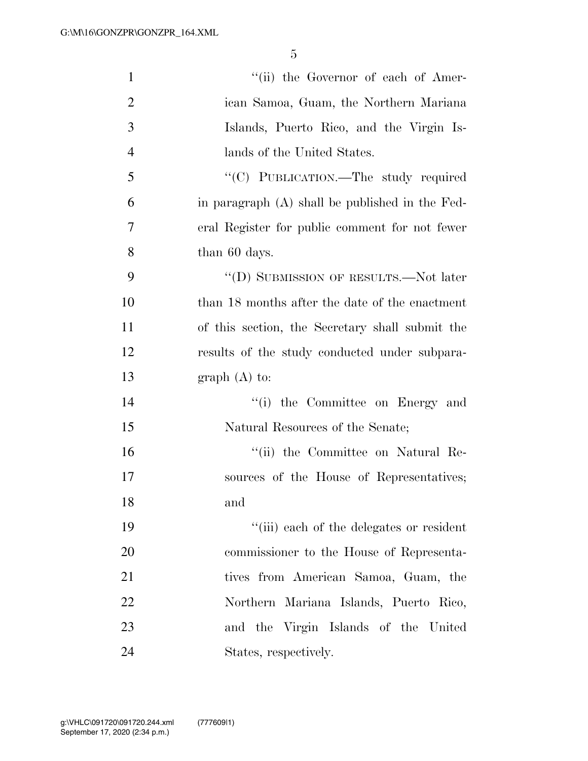| $\mathbf{1}$   | "(ii) the Governor of each of Amer-             |
|----------------|-------------------------------------------------|
| $\overline{2}$ | ican Samoa, Guam, the Northern Mariana          |
| 3              | Islands, Puerto Rico, and the Virgin Is-        |
| $\overline{4}$ | lands of the United States.                     |
| 5              | "(C) PUBLICATION.—The study required            |
| 6              | in paragraph (A) shall be published in the Fed- |
| 7              | eral Register for public comment for not fewer  |
| 8              | than 60 days.                                   |
| 9              | "(D) SUBMISSION OF RESULTS.—Not later           |
| 10             | than 18 months after the date of the enactment  |
| 11             | of this section, the Secretary shall submit the |
| 12             | results of the study conducted under subpara-   |
| 13             | $graph(A)$ to:                                  |
| 14             | "(i) the Committee on Energy and                |
| 15             | Natural Resources of the Senate;                |
| 16             | "(ii) the Committee on Natural Re-              |
| 17             | sources of the House of Representatives;        |
| 18             | and                                             |
| 19             | "(iii) each of the delegates or resident        |
| 20             | commissioner to the House of Representa-        |
| 21             | tives from American Samoa, Guam, the            |
| 22             | Northern Mariana Islands, Puerto Rico,          |
| 23             | and the Virgin Islands of the United            |
| 24             | States, respectively.                           |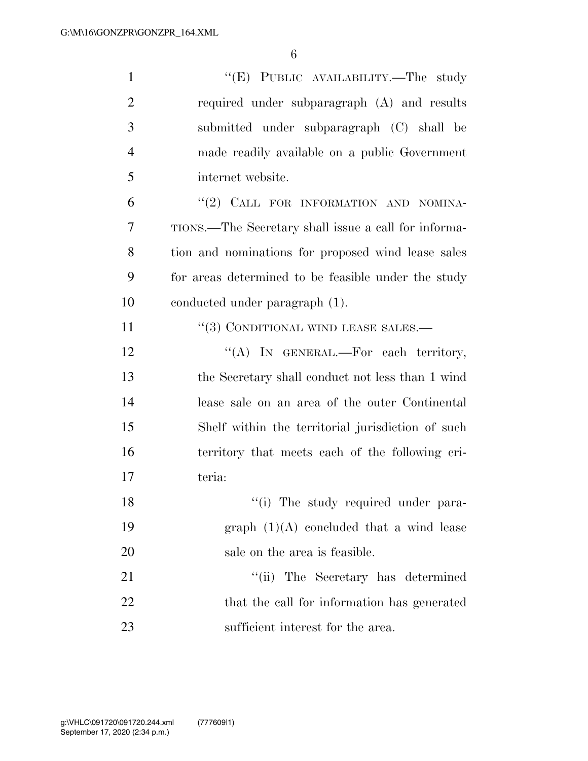| $\mathbf{1}$   | "(E) PUBLIC AVAILABILITY.—The study                  |
|----------------|------------------------------------------------------|
| $\overline{2}$ | required under subparagraph (A) and results          |
| 3              | submitted under subparagraph (C) shall be            |
| $\overline{4}$ | made readily available on a public Government        |
| 5              | internet website.                                    |
| 6              | "(2) CALL FOR INFORMATION AND NOMINA-                |
| 7              | TIONS.—The Secretary shall issue a call for informa- |
| 8              | tion and nominations for proposed wind lease sales   |
| 9              | for areas determined to be feasible under the study  |
| 10             | conducted under paragraph (1).                       |
| 11             | "(3) CONDITIONAL WIND LEASE SALES.—                  |
| 12             | "(A) IN GENERAL.—For each territory,                 |
| 13             | the Secretary shall conduct not less than 1 wind     |
| 14             | lease sale on an area of the outer Continental       |
| 15             | Shelf within the territorial jurisdiction of such    |
| 16             | territory that meets each of the following cri-      |
| 17             | teria:                                               |
| 18             | "(i) The study required under para-                  |
| 19             | graph $(1)(A)$ concluded that a wind lease           |
| 20             | sale on the area is feasible.                        |
| 21             | "(ii) The Secretary has determined                   |
| 22             | that the call for information has generated          |
| 23             | sufficient interest for the area.                    |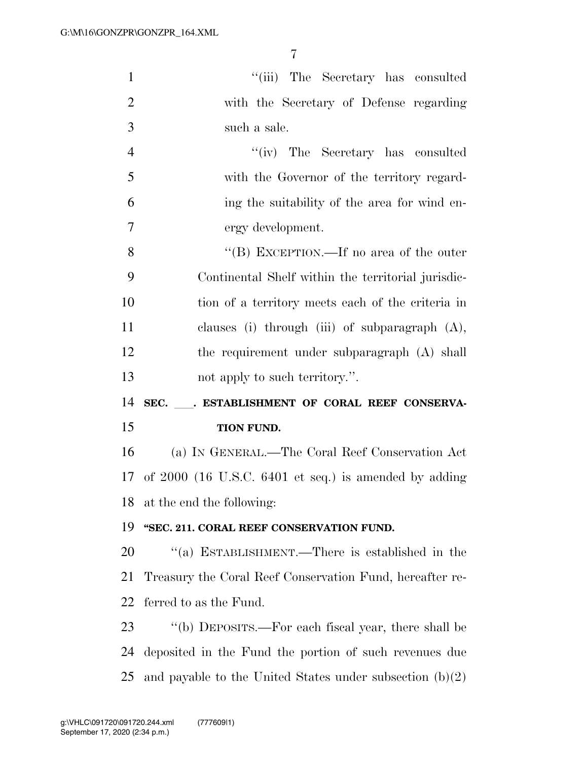| $\mathbf{1}$   | "(iii) The Secretary has consulted                       |
|----------------|----------------------------------------------------------|
| $\overline{2}$ | with the Secretary of Defense regarding                  |
| 3              | such a sale.                                             |
| $\overline{4}$ | "(iv) The Secretary has consulted                        |
| 5              | with the Governor of the territory regard-               |
| 6              | ing the suitability of the area for wind en-             |
| $\overline{7}$ | ergy development.                                        |
| 8              | "(B) EXCEPTION.—If no area of the outer                  |
| 9              | Continental Shelf within the territorial jurisdic-       |
| 10             | tion of a territory meets each of the criteria in        |
| 11             | clauses (i) through (iii) of subparagraph $(A)$ ,        |
| 12             | the requirement under subparagraph (A) shall             |
|                |                                                          |
| 13             | not apply to such territory.".                           |
| 14             | SEC. . ESTABLISHMENT OF CORAL REEF CONSERVA-             |
| 15             | TION FUND.                                               |
| 16             | (a) IN GENERAL.—The Coral Reef Conservation Act          |
| 17             | of $2000$ (16 U.S.C. 6401 et seq.) is amended by adding  |
| 18             | at the end the following:                                |
| 19             | "SEC. 211. CORAL REEF CONSERVATION FUND.                 |
| 20             | "(a) ESTABLISHMENT.—There is established in the          |
| 21             | Treasury the Coral Reef Conservation Fund, hereafter re- |
| 22             | ferred to as the Fund.                                   |
| 23             | "(b) DEPOSITS.—For each fiscal year, there shall be      |
| 24             | deposited in the Fund the portion of such revenues due   |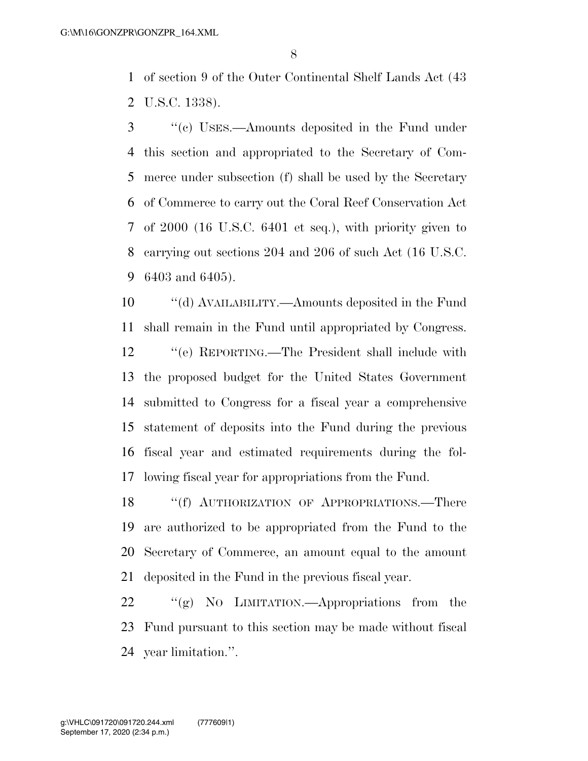of section 9 of the Outer Continental Shelf Lands Act (43 U.S.C. 1338).

 ''(c) USES.—Amounts deposited in the Fund under this section and appropriated to the Secretary of Com- merce under subsection (f) shall be used by the Secretary of Commerce to carry out the Coral Reef Conservation Act of 2000 (16 U.S.C. 6401 et seq.), with priority given to carrying out sections 204 and 206 of such Act (16 U.S.C. 6403 and 6405).

 ''(d) AVAILABILITY.—Amounts deposited in the Fund shall remain in the Fund until appropriated by Congress. ''(e) REPORTING.—The President shall include with the proposed budget for the United States Government submitted to Congress for a fiscal year a comprehensive

 statement of deposits into the Fund during the previous fiscal year and estimated requirements during the fol-lowing fiscal year for appropriations from the Fund.

18 "(f) AUTHORIZATION OF APPROPRIATIONS.—There are authorized to be appropriated from the Fund to the Secretary of Commerce, an amount equal to the amount deposited in the Fund in the previous fiscal year.

22 "(g) NO LIMITATION.—Appropriations from the Fund pursuant to this section may be made without fiscal year limitation.''.